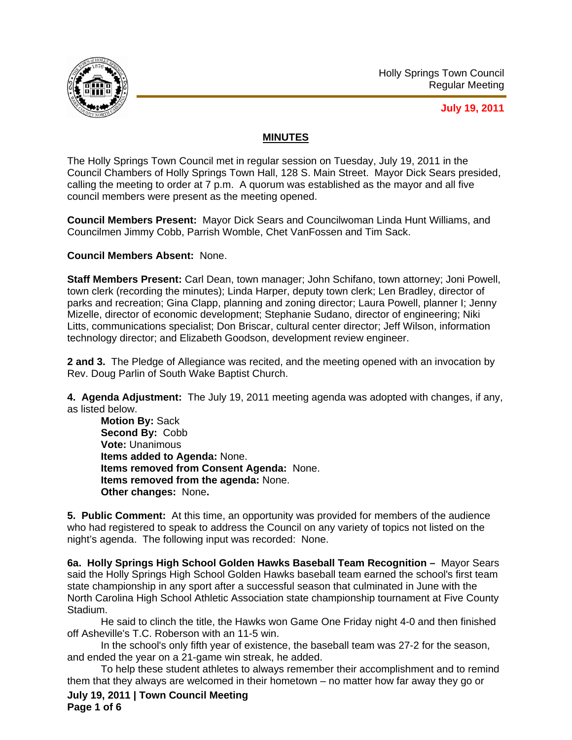

## **July 19, 2011**

## **MINUTES**

The Holly Springs Town Council met in regular session on Tuesday, July 19, 2011 in the Council Chambers of Holly Springs Town Hall, 128 S. Main Street. Mayor Dick Sears presided, calling the meeting to order at 7 p.m. A quorum was established as the mayor and all five council members were present as the meeting opened.

**Council Members Present:** Mayor Dick Sears and Councilwoman Linda Hunt Williams, and Councilmen Jimmy Cobb, Parrish Womble, Chet VanFossen and Tim Sack.

**Council Members Absent:** None.

**Staff Members Present:** Carl Dean, town manager; John Schifano, town attorney; Joni Powell, town clerk (recording the minutes); Linda Harper, deputy town clerk; Len Bradley, director of parks and recreation; Gina Clapp, planning and zoning director; Laura Powell, planner I; Jenny Mizelle, director of economic development; Stephanie Sudano, director of engineering; Niki Litts, communications specialist; Don Briscar, cultural center director; Jeff Wilson, information technology director; and Elizabeth Goodson, development review engineer.

**2 and 3.** The Pledge of Allegiance was recited, and the meeting opened with an invocation by Rev. Doug Parlin of South Wake Baptist Church.

**4. Agenda Adjustment:** The July 19, 2011 meeting agenda was adopted with changes, if any, as listed below.

**Motion By:** Sack **Second By:** Cobb **Vote:** Unanimous **Items added to Agenda:** None. **Items removed from Consent Agenda:** None. **Items removed from the agenda:** None. **Other changes:** None**.** 

**5. Public Comment:** At this time, an opportunity was provided for members of the audience who had registered to speak to address the Council on any variety of topics not listed on the night's agenda. The following input was recorded: None.

**6a. Holly Springs High School Golden Hawks Baseball Team Recognition –** Mayor Sears said the Holly Springs High School Golden Hawks baseball team earned the school's first team state championship in any sport after a successful season that culminated in June with the North Carolina High School Athletic Association state championship tournament at Five County Stadium.

 He said to clinch the title, the Hawks won Game One Friday night 4-0 and then finished off Asheville's T.C. Roberson with an 11-5 win.

 In the school's only fifth year of existence, the baseball team was 27-2 for the season, and ended the year on a 21-game win streak, he added.

 To help these student athletes to always remember their accomplishment and to remind them that they always are welcomed in their hometown – no matter how far away they go or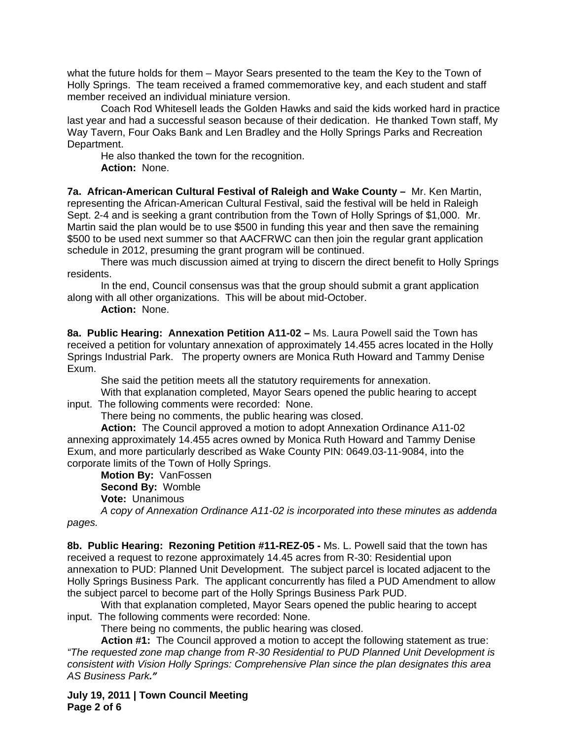what the future holds for them – Mayor Sears presented to the team the Key to the Town of Holly Springs. The team received a framed commemorative key, and each student and staff member received an individual miniature version.

Coach Rod Whitesell leads the Golden Hawks and said the kids worked hard in practice last year and had a successful season because of their dedication. He thanked Town staff, My Way Tavern, Four Oaks Bank and Len Bradley and the Holly Springs Parks and Recreation Department.

He also thanked the town for the recognition. **Action:** None.

**7a. African-American Cultural Festival of Raleigh and Wake County –** Mr. Ken Martin, representing the African-American Cultural Festival, said the festival will be held in Raleigh Sept. 2-4 and is seeking a grant contribution from the Town of Holly Springs of \$1,000. Mr. Martin said the plan would be to use \$500 in funding this year and then save the remaining \$500 to be used next summer so that AACFRWC can then join the regular grant application schedule in 2012, presuming the grant program will be continued.

 There was much discussion aimed at trying to discern the direct benefit to Holly Springs residents.

 In the end, Council consensus was that the group should submit a grant application along with all other organizations. This will be about mid-October.

**Action:** None.

**8a. Public Hearing: Annexation Petition A11-02 –** Ms. Laura Powell said the Town has received a petition for voluntary annexation of approximately 14.455 acres located in the Holly Springs Industrial Park. The property owners are Monica Ruth Howard and Tammy Denise Exum.

She said the petition meets all the statutory requirements for annexation.

 With that explanation completed, Mayor Sears opened the public hearing to accept input. The following comments were recorded: None.

There being no comments, the public hearing was closed.

**Action:** The Council approved a motion to adopt Annexation Ordinance A11-02 annexing approximately 14.455 acres owned by Monica Ruth Howard and Tammy Denise Exum, and more particularly described as Wake County PIN: 0649.03-11-9084, into the corporate limits of the Town of Holly Springs.

**Motion By:** VanFossen **Second By:** Womble **Vote:** Unanimous

*A copy of Annexation Ordinance A11-02 is incorporated into these minutes as addenda pages.*

**8b. Public Hearing: Rezoning Petition #11-REZ-05 -** Ms. L. Powell said that the town has

received a request to rezone approximately 14.45 acres from R-30: Residential upon annexation to PUD: Planned Unit Development. The subject parcel is located adjacent to the Holly Springs Business Park. The applicant concurrently has filed a PUD Amendment to allow the subject parcel to become part of the Holly Springs Business Park PUD.

With that explanation completed, Mayor Sears opened the public hearing to accept input. The following comments were recorded: None.

There being no comments, the public hearing was closed.

**Action #1:** The Council approved a motion to accept the following statement as true: *"The requested zone map change from R-30 Residential to PUD Planned Unit Development is consistent with Vision Holly Springs: Comprehensive Plan since the plan designates this area AS Business Park."*

**July 19, 2011 | Town Council Meeting Page 2 of 6**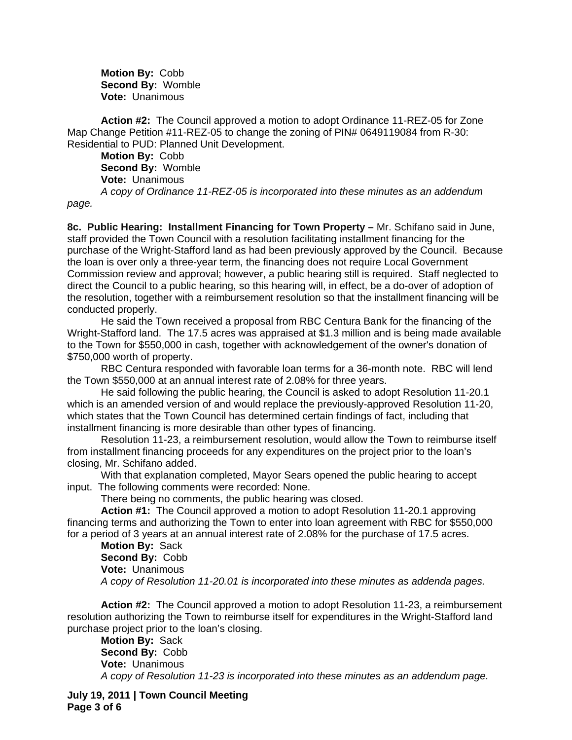**Motion By:** Cobb **Second By:** Womble **Vote:** Unanimous

**Action #2:** The Council approved a motion to adopt Ordinance 11-REZ-05 for Zone Map Change Petition #11-REZ-05 to change the zoning of PIN# 0649119084 from R-30: Residential to PUD: Planned Unit Development.

**Motion By:** Cobb **Second By:** Womble **Vote:** Unanimous

*A copy of Ordinance 11-REZ-05 is incorporated into these minutes as an addendum page.*

**8c. Public Hearing: Installment Financing for Town Property –** Mr. Schifano said in June, staff provided the Town Council with a resolution facilitating installment financing for the purchase of the Wright-Stafford land as had been previously approved by the Council. Because the loan is over only a three-year term, the financing does not require Local Government Commission review and approval; however, a public hearing still is required. Staff neglected to direct the Council to a public hearing, so this hearing will, in effect, be a do-over of adoption of the resolution, together with a reimbursement resolution so that the installment financing will be conducted properly.

 He said the Town received a proposal from RBC Centura Bank for the financing of the Wright-Stafford land. The 17.5 acres was appraised at \$1.3 million and is being made available to the Town for \$550,000 in cash, together with acknowledgement of the owner's donation of \$750,000 worth of property.

 RBC Centura responded with favorable loan terms for a 36-month note. RBC will lend the Town \$550,000 at an annual interest rate of 2.08% for three years.

 He said following the public hearing, the Council is asked to adopt Resolution 11-20.1 which is an amended version of and would replace the previously-approved Resolution 11-20, which states that the Town Council has determined certain findings of fact, including that installment financing is more desirable than other types of financing.

 Resolution 11-23, a reimbursement resolution, would allow the Town to reimburse itself from installment financing proceeds for any expenditures on the project prior to the loan's closing, Mr. Schifano added.

With that explanation completed, Mayor Sears opened the public hearing to accept input. The following comments were recorded: None.

There being no comments, the public hearing was closed.

**Action #1:** The Council approved a motion to adopt Resolution 11-20.1 approving financing terms and authorizing the Town to enter into loan agreement with RBC for \$550,000 for a period of 3 years at an annual interest rate of 2.08% for the purchase of 17.5 acres.

**Motion By:** Sack **Second By:** Cobb **Vote:** Unanimous *A copy of Resolution 11-20.01 is incorporated into these minutes as addenda pages.*

**Action #2:** The Council approved a motion to adopt Resolution 11-23, a reimbursement resolution authorizing the Town to reimburse itself for expenditures in the Wright-Stafford land purchase project prior to the loan's closing.

**Motion By:** Sack **Second By:** Cobb **Vote:** Unanimous *A copy of Resolution 11-23 is incorporated into these minutes as an addendum page.*

**July 19, 2011 | Town Council Meeting Page 3 of 6**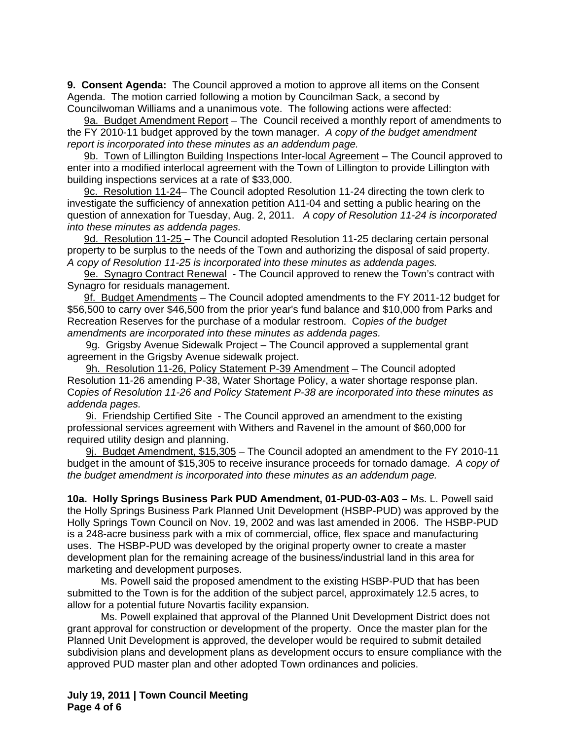**9. Consent Agenda:** The Council approved a motion to approve all items on the Consent Agenda. The motion carried following a motion by Councilman Sack, a second by Councilwoman Williams and a unanimous vote. The following actions were affected:

9a. Budget Amendment Report – The Council received a monthly report of amendments to the FY 2010-11 budget approved by the town manager.*A copy of the budget amendment report is incorporated into these minutes as an addendum page.*

9b. Town of Lillington Building Inspections Inter-local Agreement – The Council approved to enter into a modified interlocal agreement with the Town of Lillington to provide Lillington with building inspections services at a rate of \$33,000.

9c. Resolution 11-24– The Council adopted Resolution 11-24 directing the town clerk to investigate the sufficiency of annexation petition A11-04 and setting a public hearing on the question of annexation for Tuesday, Aug. 2, 2011. *A copy of Resolution 11-24 is incorporated into these minutes as addenda pages.*

9d. Resolution 11-25 – The Council adopted Resolution 11-25 declaring certain personal property to be surplus to the needs of the Town and authorizing the disposal of said property. *A copy of Resolution 11-25 is incorporated into these minutes as addenda pages.*

9e. Synagro Contract Renewal - The Council approved to renew the Town's contract with Synagro for residuals management.

9f. Budget Amendments – The Council adopted amendments to the FY 2011-12 budget for \$56,500 to carry over \$46,500 from the prior year's fund balance and \$10,000 from Parks and Recreation Reserves for the purchase of a modular restroom. C*opies of the budget amendments are incorporated into these minutes as addenda pages.*

9g. Grigsby Avenue Sidewalk Project – The Council approved a supplemental grant agreement in the Grigsby Avenue sidewalk project.

9h. Resolution 11-26, Policy Statement P-39 Amendment – The Council adopted Resolution 11-26 amending P-38, Water Shortage Policy, a water shortage response plan. C*opies of Resolution 11-26 and Policy Statement P-38 are incorporated into these minutes as addenda pages.*

9i. Friendship Certified Site- The Council approved an amendment to the existing professional services agreement with Withers and Ravenel in the amount of \$60,000 for required utility design and planning.

 9j. Budget Amendment, \$15,305 – The Council adopted an amendment to the FY 2010-11 budget in the amount of \$15,305 to receive insurance proceeds for tornado damage. *A copy of the budget amendment is incorporated into these minutes as an addendum page.*

**10a. Holly Springs Business Park PUD Amendment, 01-PUD-03-A03 –** Ms. L. Powell said the Holly Springs Business Park Planned Unit Development (HSBP-PUD) was approved by the Holly Springs Town Council on Nov. 19, 2002 and was last amended in 2006. The HSBP-PUD is a 248-acre business park with a mix of commercial, office, flex space and manufacturing uses. The HSBP-PUD was developed by the original property owner to create a master development plan for the remaining acreage of the business/industrial land in this area for marketing and development purposes.

 Ms. Powell said the proposed amendment to the existing HSBP-PUD that has been submitted to the Town is for the addition of the subject parcel, approximately 12.5 acres, to allow for a potential future Novartis facility expansion.

 Ms. Powell explained that approval of the Planned Unit Development District does not grant approval for construction or development of the property. Once the master plan for the Planned Unit Development is approved, the developer would be required to submit detailed subdivision plans and development plans as development occurs to ensure compliance with the approved PUD master plan and other adopted Town ordinances and policies.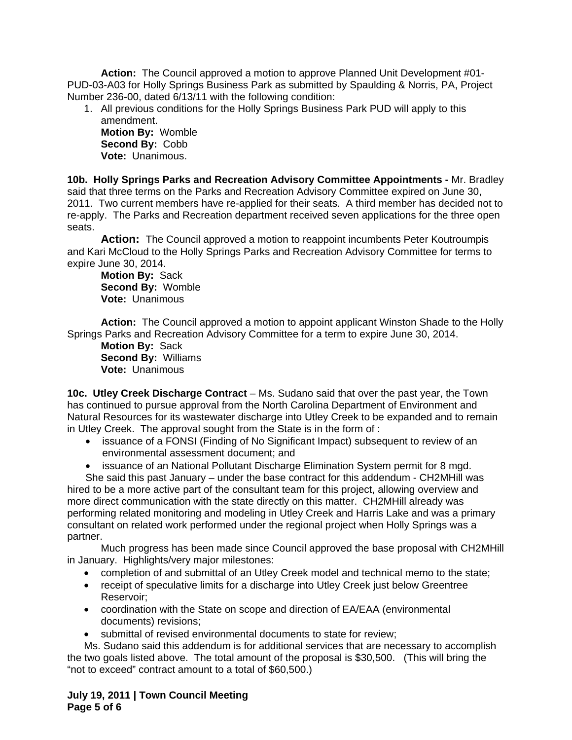**Action:** The Council approved a motion to approve Planned Unit Development #01- PUD-03-A03 for Holly Springs Business Park as submitted by Spaulding & Norris, PA, Project Number 236-00, dated 6/13/11 with the following condition:

1. All previous conditions for the Holly Springs Business Park PUD will apply to this amendment. **Motion By:** Womble

**Second By:** Cobb **Vote:** Unanimous.

**10b. Holly Springs Parks and Recreation Advisory Committee Appointments -** Mr. Bradley said that three terms on the Parks and Recreation Advisory Committee expired on June 30, 2011. Two current members have re-applied for their seats. A third member has decided not to re-apply. The Parks and Recreation department received seven applications for the three open seats.

 **Action:** The Council approved a motion to reappoint incumbents Peter Koutroumpis and Kari McCloud to the Holly Springs Parks and Recreation Advisory Committee for terms to expire June 30, 2014.

**Motion By:** Sack **Second By:** Womble **Vote:** Unanimous

**Action:** The Council approved a motion to appoint applicant Winston Shade to the Holly Springs Parks and Recreation Advisory Committee for a term to expire June 30, 2014.

**Motion By:** Sack **Second By:** Williams **Vote:** Unanimous

**10c. Utley Creek Discharge Contract** – Ms. Sudano said that over the past year, the Town has continued to pursue approval from the North Carolina Department of Environment and Natural Resources for its wastewater discharge into Utley Creek to be expanded and to remain in Utley Creek. The approval sought from the State is in the form of :

- issuance of a FONSI (Finding of No Significant Impact) subsequent to review of an environmental assessment document; and
- issuance of an National Pollutant Discharge Elimination System permit for 8 mgd.

She said this past January – under the base contract for this addendum - CH2MHill was hired to be a more active part of the consultant team for this project, allowing overview and more direct communication with the state directly on this matter. CH2MHill already was performing related monitoring and modeling in Utley Creek and Harris Lake and was a primary consultant on related work performed under the regional project when Holly Springs was a partner.

 Much progress has been made since Council approved the base proposal with CH2MHill in January. Highlights/very major milestones:

- completion of and submittal of an Utley Creek model and technical memo to the state;
- receipt of speculative limits for a discharge into Utley Creek just below Greentree Reservoir;
- coordination with the State on scope and direction of EA/EAA (environmental documents) revisions;
- submittal of revised environmental documents to state for review;

Ms. Sudano said this addendum is for additional services that are necessary to accomplish the two goals listed above. The total amount of the proposal is \$30,500. (This will bring the "not to exceed" contract amount to a total of \$60,500.)

**July 19, 2011 | Town Council Meeting Page 5 of 6**